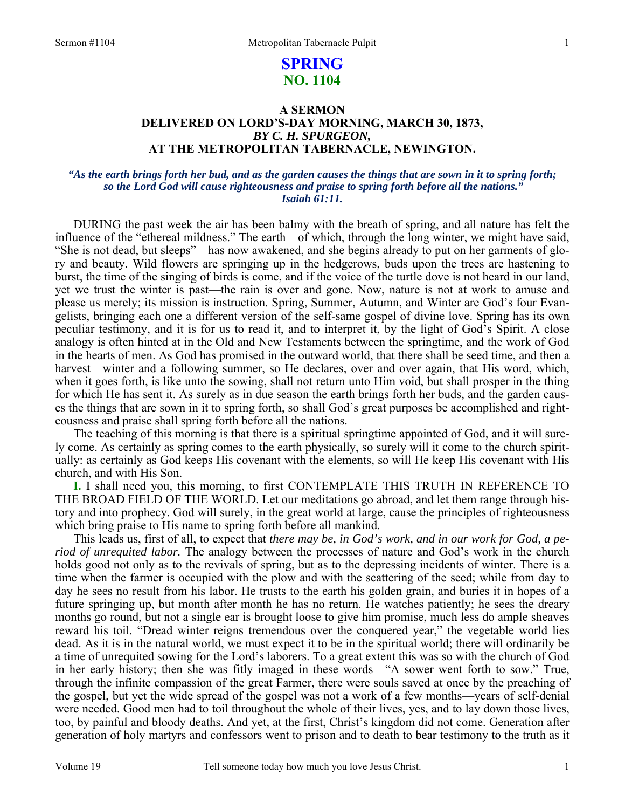### 1

# **SPRING NO. 1104**

## **A SERMON DELIVERED ON LORD'S-DAY MORNING, MARCH 30, 1873,**  *BY C. H. SPURGEON,*  **AT THE METROPOLITAN TABERNACLE, NEWINGTON.**

### *"As the earth brings forth her bud, and as the garden causes the things that are sown in it to spring forth; so the Lord God will cause righteousness and praise to spring forth before all the nations." Isaiah 61:11.*

DURING the past week the air has been balmy with the breath of spring, and all nature has felt the influence of the "ethereal mildness." The earth—of which, through the long winter, we might have said, "She is not dead, but sleeps"—has now awakened, and she begins already to put on her garments of glory and beauty. Wild flowers are springing up in the hedgerows, buds upon the trees are hastening to burst, the time of the singing of birds is come, and if the voice of the turtle dove is not heard in our land, yet we trust the winter is past—the rain is over and gone. Now, nature is not at work to amuse and please us merely; its mission is instruction. Spring, Summer, Autumn, and Winter are God's four Evangelists, bringing each one a different version of the self-same gospel of divine love. Spring has its own peculiar testimony, and it is for us to read it, and to interpret it, by the light of God's Spirit. A close analogy is often hinted at in the Old and New Testaments between the springtime, and the work of God in the hearts of men. As God has promised in the outward world, that there shall be seed time, and then a harvest—winter and a following summer, so He declares, over and over again, that His word, which, when it goes forth, is like unto the sowing, shall not return unto Him void, but shall prosper in the thing for which He has sent it. As surely as in due season the earth brings forth her buds, and the garden causes the things that are sown in it to spring forth, so shall God's great purposes be accomplished and righteousness and praise shall spring forth before all the nations.

The teaching of this morning is that there is a spiritual springtime appointed of God, and it will surely come. As certainly as spring comes to the earth physically, so surely will it come to the church spiritually: as certainly as God keeps His covenant with the elements, so will He keep His covenant with His church, and with His Son.

**I.** I shall need you, this morning, to first CONTEMPLATE THIS TRUTH IN REFERENCE TO THE BROAD FIELD OF THE WORLD. Let our meditations go abroad, and let them range through history and into prophecy. God will surely, in the great world at large, cause the principles of righteousness which bring praise to His name to spring forth before all mankind.

This leads us, first of all, to expect that *there may be, in God's work, and in our work for God, a period of unrequited labor.* The analogy between the processes of nature and God's work in the church holds good not only as to the revivals of spring, but as to the depressing incidents of winter. There is a time when the farmer is occupied with the plow and with the scattering of the seed; while from day to day he sees no result from his labor. He trusts to the earth his golden grain, and buries it in hopes of a future springing up, but month after month he has no return. He watches patiently; he sees the dreary months go round, but not a single ear is brought loose to give him promise, much less do ample sheaves reward his toil. "Dread winter reigns tremendous over the conquered year," the vegetable world lies dead. As it is in the natural world, we must expect it to be in the spiritual world; there will ordinarily be a time of unrequited sowing for the Lord's laborers. To a great extent this was so with the church of God in her early history; then she was fitly imaged in these words—"A sower went forth to sow." True, through the infinite compassion of the great Farmer, there were souls saved at once by the preaching of the gospel, but yet the wide spread of the gospel was not a work of a few months—years of self-denial were needed. Good men had to toil throughout the whole of their lives, yes, and to lay down those lives, too, by painful and bloody deaths. And yet, at the first, Christ's kingdom did not come. Generation after generation of holy martyrs and confessors went to prison and to death to bear testimony to the truth as it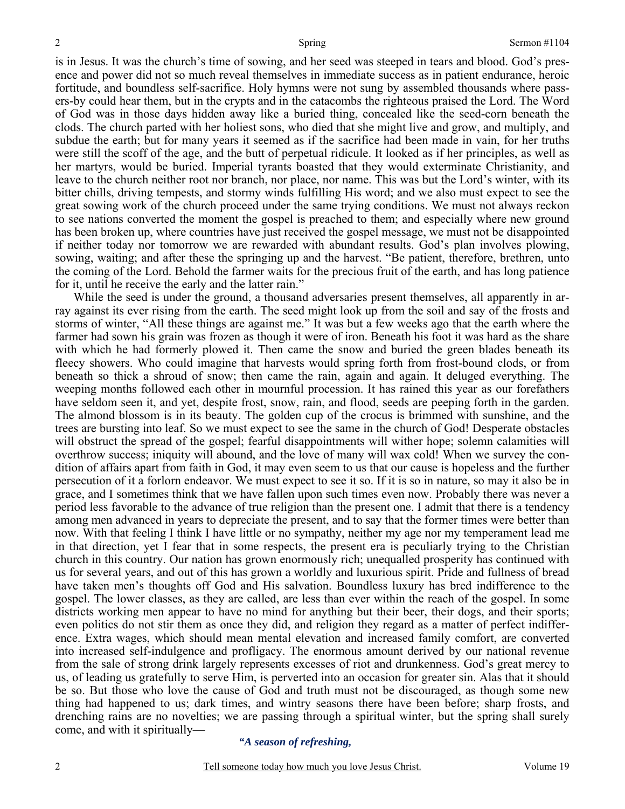is in Jesus. It was the church's time of sowing, and her seed was steeped in tears and blood. God's presence and power did not so much reveal themselves in immediate success as in patient endurance, heroic fortitude, and boundless self-sacrifice. Holy hymns were not sung by assembled thousands where passers-by could hear them, but in the crypts and in the catacombs the righteous praised the Lord. The Word of God was in those days hidden away like a buried thing, concealed like the seed-corn beneath the clods. The church parted with her holiest sons, who died that she might live and grow, and multiply, and subdue the earth; but for many years it seemed as if the sacrifice had been made in vain, for her truths were still the scoff of the age, and the butt of perpetual ridicule. It looked as if her principles, as well as her martyrs, would be buried. Imperial tyrants boasted that they would exterminate Christianity, and leave to the church neither root nor branch, nor place, nor name. This was but the Lord's winter, with its bitter chills, driving tempests, and stormy winds fulfilling His word; and we also must expect to see the great sowing work of the church proceed under the same trying conditions. We must not always reckon to see nations converted the moment the gospel is preached to them; and especially where new ground has been broken up, where countries have just received the gospel message, we must not be disappointed if neither today nor tomorrow we are rewarded with abundant results. God's plan involves plowing, sowing, waiting; and after these the springing up and the harvest. "Be patient, therefore, brethren, unto the coming of the Lord. Behold the farmer waits for the precious fruit of the earth, and has long patience for it, until he receive the early and the latter rain."

While the seed is under the ground, a thousand adversaries present themselves, all apparently in array against its ever rising from the earth. The seed might look up from the soil and say of the frosts and storms of winter, "All these things are against me." It was but a few weeks ago that the earth where the farmer had sown his grain was frozen as though it were of iron. Beneath his foot it was hard as the share with which he had formerly plowed it. Then came the snow and buried the green blades beneath its fleecy showers. Who could imagine that harvests would spring forth from frost-bound clods, or from beneath so thick a shroud of snow; then came the rain, again and again. It deluged everything. The weeping months followed each other in mournful procession. It has rained this year as our forefathers have seldom seen it, and yet, despite frost, snow, rain, and flood, seeds are peeping forth in the garden. The almond blossom is in its beauty. The golden cup of the crocus is brimmed with sunshine, and the trees are bursting into leaf. So we must expect to see the same in the church of God! Desperate obstacles will obstruct the spread of the gospel; fearful disappointments will wither hope; solemn calamities will overthrow success; iniquity will abound, and the love of many will wax cold! When we survey the condition of affairs apart from faith in God, it may even seem to us that our cause is hopeless and the further persecution of it a forlorn endeavor. We must expect to see it so. If it is so in nature, so may it also be in grace, and I sometimes think that we have fallen upon such times even now. Probably there was never a period less favorable to the advance of true religion than the present one. I admit that there is a tendency among men advanced in years to depreciate the present, and to say that the former times were better than now. With that feeling I think I have little or no sympathy, neither my age nor my temperament lead me in that direction, yet I fear that in some respects, the present era is peculiarly trying to the Christian church in this country. Our nation has grown enormously rich; unequalled prosperity has continued with us for several years, and out of this has grown a worldly and luxurious spirit. Pride and fullness of bread have taken men's thoughts off God and His salvation. Boundless luxury has bred indifference to the gospel. The lower classes, as they are called, are less than ever within the reach of the gospel. In some districts working men appear to have no mind for anything but their beer, their dogs, and their sports; even politics do not stir them as once they did, and religion they regard as a matter of perfect indifference. Extra wages, which should mean mental elevation and increased family comfort, are converted into increased self-indulgence and profligacy. The enormous amount derived by our national revenue from the sale of strong drink largely represents excesses of riot and drunkenness. God's great mercy to us, of leading us gratefully to serve Him, is perverted into an occasion for greater sin. Alas that it should be so. But those who love the cause of God and truth must not be discouraged, as though some new thing had happened to us; dark times, and wintry seasons there have been before; sharp frosts, and drenching rains are no novelties; we are passing through a spiritual winter, but the spring shall surely come, and with it spiritually—

### *"A season of refreshing,*

2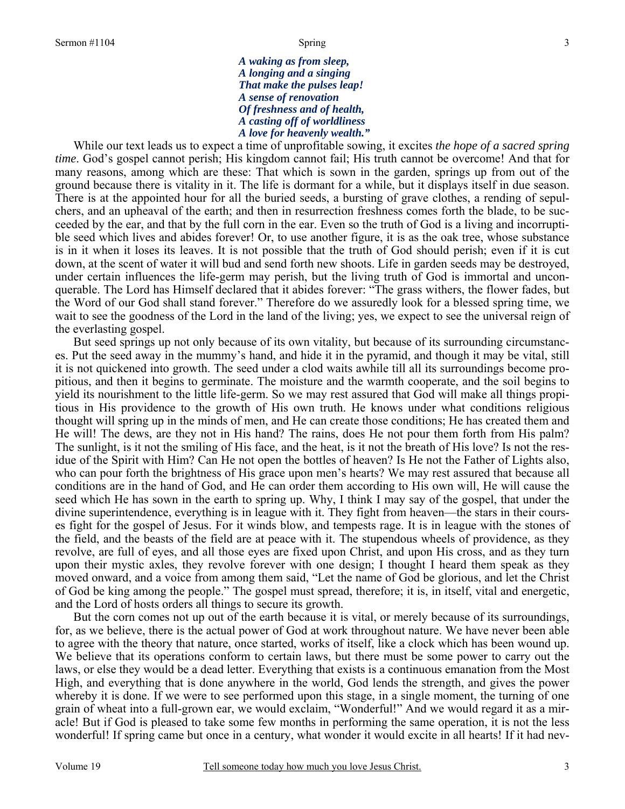*A waking as from sleep, A longing and a singing That make the pulses leap! A sense of renovation Of freshness and of health, A casting off of worldliness A love for heavenly wealth."* 

 While our text leads us to expect a time of unprofitable sowing, it excites *the hope of a sacred spring time*. God's gospel cannot perish; His kingdom cannot fail; His truth cannot be overcome! And that for many reasons, among which are these: That which is sown in the garden, springs up from out of the ground because there is vitality in it. The life is dormant for a while, but it displays itself in due season. There is at the appointed hour for all the buried seeds, a bursting of grave clothes, a rending of sepulchers, and an upheaval of the earth; and then in resurrection freshness comes forth the blade, to be succeeded by the ear, and that by the full corn in the ear. Even so the truth of God is a living and incorruptible seed which lives and abides forever! Or, to use another figure, it is as the oak tree, whose substance is in it when it loses its leaves. It is not possible that the truth of God should perish; even if it is cut down, at the scent of water it will bud and send forth new shoots. Life in garden seeds may be destroyed, under certain influences the life-germ may perish, but the living truth of God is immortal and unconquerable. The Lord has Himself declared that it abides forever: "The grass withers, the flower fades, but the Word of our God shall stand forever." Therefore do we assuredly look for a blessed spring time, we wait to see the goodness of the Lord in the land of the living; yes, we expect to see the universal reign of the everlasting gospel.

But seed springs up not only because of its own vitality, but because of its surrounding circumstances. Put the seed away in the mummy's hand, and hide it in the pyramid, and though it may be vital, still it is not quickened into growth. The seed under a clod waits awhile till all its surroundings become propitious, and then it begins to germinate. The moisture and the warmth cooperate, and the soil begins to yield its nourishment to the little life-germ. So we may rest assured that God will make all things propitious in His providence to the growth of His own truth. He knows under what conditions religious thought will spring up in the minds of men, and He can create those conditions; He has created them and He will! The dews, are they not in His hand? The rains, does He not pour them forth from His palm? The sunlight, is it not the smiling of His face, and the heat, is it not the breath of His love? Is not the residue of the Spirit with Him? Can He not open the bottles of heaven? Is He not the Father of Lights also, who can pour forth the brightness of His grace upon men's hearts? We may rest assured that because all conditions are in the hand of God, and He can order them according to His own will, He will cause the seed which He has sown in the earth to spring up. Why, I think I may say of the gospel, that under the divine superintendence, everything is in league with it. They fight from heaven—the stars in their courses fight for the gospel of Jesus. For it winds blow, and tempests rage. It is in league with the stones of the field, and the beasts of the field are at peace with it. The stupendous wheels of providence, as they revolve, are full of eyes, and all those eyes are fixed upon Christ, and upon His cross, and as they turn upon their mystic axles, they revolve forever with one design; I thought I heard them speak as they moved onward, and a voice from among them said, "Let the name of God be glorious, and let the Christ of God be king among the people." The gospel must spread, therefore; it is, in itself, vital and energetic, and the Lord of hosts orders all things to secure its growth.

But the corn comes not up out of the earth because it is vital, or merely because of its surroundings, for, as we believe, there is the actual power of God at work throughout nature. We have never been able to agree with the theory that nature, once started, works of itself, like a clock which has been wound up. We believe that its operations conform to certain laws, but there must be some power to carry out the laws, or else they would be a dead letter. Everything that exists is a continuous emanation from the Most High, and everything that is done anywhere in the world, God lends the strength, and gives the power whereby it is done. If we were to see performed upon this stage, in a single moment, the turning of one grain of wheat into a full-grown ear, we would exclaim, "Wonderful!" And we would regard it as a miracle! But if God is pleased to take some few months in performing the same operation, it is not the less wonderful! If spring came but once in a century, what wonder it would excite in all hearts! If it had nev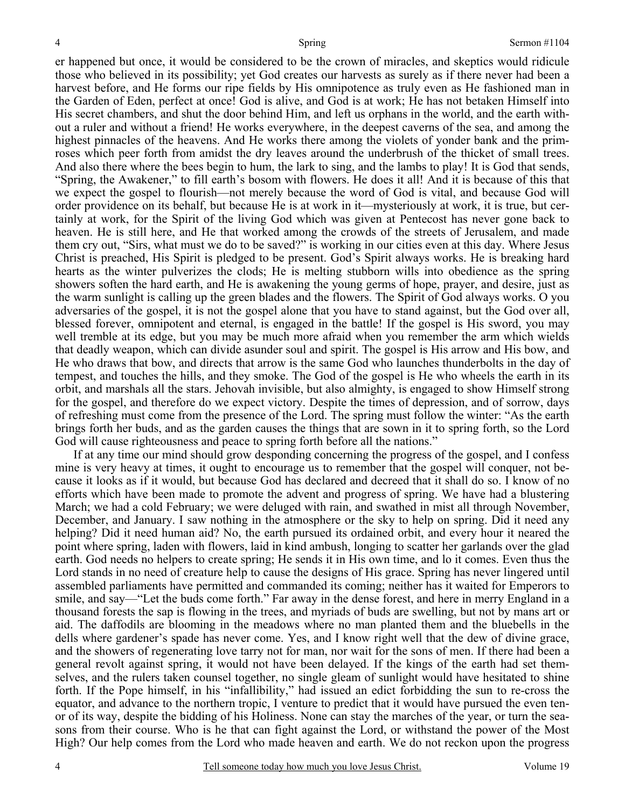er happened but once, it would be considered to be the crown of miracles, and skeptics would ridicule those who believed in its possibility; yet God creates our harvests as surely as if there never had been a harvest before, and He forms our ripe fields by His omnipotence as truly even as He fashioned man in the Garden of Eden, perfect at once! God is alive, and God is at work; He has not betaken Himself into His secret chambers, and shut the door behind Him, and left us orphans in the world, and the earth without a ruler and without a friend! He works everywhere, in the deepest caverns of the sea, and among the highest pinnacles of the heavens. And He works there among the violets of yonder bank and the primroses which peer forth from amidst the dry leaves around the underbrush of the thicket of small trees. And also there where the bees begin to hum, the lark to sing, and the lambs to play! It is God that sends, "Spring, the Awakener," to fill earth's bosom with flowers. He does it all! And it is because of this that we expect the gospel to flourish—not merely because the word of God is vital, and because God will order providence on its behalf, but because He is at work in it—mysteriously at work, it is true, but certainly at work, for the Spirit of the living God which was given at Pentecost has never gone back to heaven. He is still here, and He that worked among the crowds of the streets of Jerusalem, and made them cry out, "Sirs, what must we do to be saved?" is working in our cities even at this day. Where Jesus Christ is preached, His Spirit is pledged to be present. God's Spirit always works. He is breaking hard hearts as the winter pulverizes the clods; He is melting stubborn wills into obedience as the spring showers soften the hard earth, and He is awakening the young germs of hope, prayer, and desire, just as the warm sunlight is calling up the green blades and the flowers. The Spirit of God always works. O you adversaries of the gospel, it is not the gospel alone that you have to stand against, but the God over all, blessed forever, omnipotent and eternal, is engaged in the battle! If the gospel is His sword, you may well tremble at its edge, but you may be much more afraid when you remember the arm which wields that deadly weapon, which can divide asunder soul and spirit. The gospel is His arrow and His bow, and He who draws that bow, and directs that arrow is the same God who launches thunderbolts in the day of tempest, and touches the hills, and they smoke. The God of the gospel is He who wheels the earth in its orbit, and marshals all the stars. Jehovah invisible, but also almighty, is engaged to show Himself strong for the gospel, and therefore do we expect victory. Despite the times of depression, and of sorrow, days of refreshing must come from the presence of the Lord. The spring must follow the winter: "As the earth brings forth her buds, and as the garden causes the things that are sown in it to spring forth, so the Lord God will cause righteousness and peace to spring forth before all the nations."

If at any time our mind should grow desponding concerning the progress of the gospel, and I confess mine is very heavy at times, it ought to encourage us to remember that the gospel will conquer, not because it looks as if it would, but because God has declared and decreed that it shall do so. I know of no efforts which have been made to promote the advent and progress of spring. We have had a blustering March; we had a cold February; we were deluged with rain, and swathed in mist all through November, December, and January. I saw nothing in the atmosphere or the sky to help on spring. Did it need any helping? Did it need human aid? No, the earth pursued its ordained orbit, and every hour it neared the point where spring, laden with flowers, laid in kind ambush, longing to scatter her garlands over the glad earth. God needs no helpers to create spring; He sends it in His own time, and lo it comes. Even thus the Lord stands in no need of creature help to cause the designs of His grace. Spring has never lingered until assembled parliaments have permitted and commanded its coming; neither has it waited for Emperors to smile, and say—"Let the buds come forth." Far away in the dense forest, and here in merry England in a thousand forests the sap is flowing in the trees, and myriads of buds are swelling, but not by mans art or aid. The daffodils are blooming in the meadows where no man planted them and the bluebells in the dells where gardener's spade has never come. Yes, and I know right well that the dew of divine grace, and the showers of regenerating love tarry not for man, nor wait for the sons of men. If there had been a general revolt against spring, it would not have been delayed. If the kings of the earth had set themselves, and the rulers taken counsel together, no single gleam of sunlight would have hesitated to shine forth. If the Pope himself, in his "infallibility," had issued an edict forbidding the sun to re-cross the equator, and advance to the northern tropic, I venture to predict that it would have pursued the even tenor of its way, despite the bidding of his Holiness. None can stay the marches of the year, or turn the seasons from their course. Who is he that can fight against the Lord, or withstand the power of the Most High? Our help comes from the Lord who made heaven and earth. We do not reckon upon the progress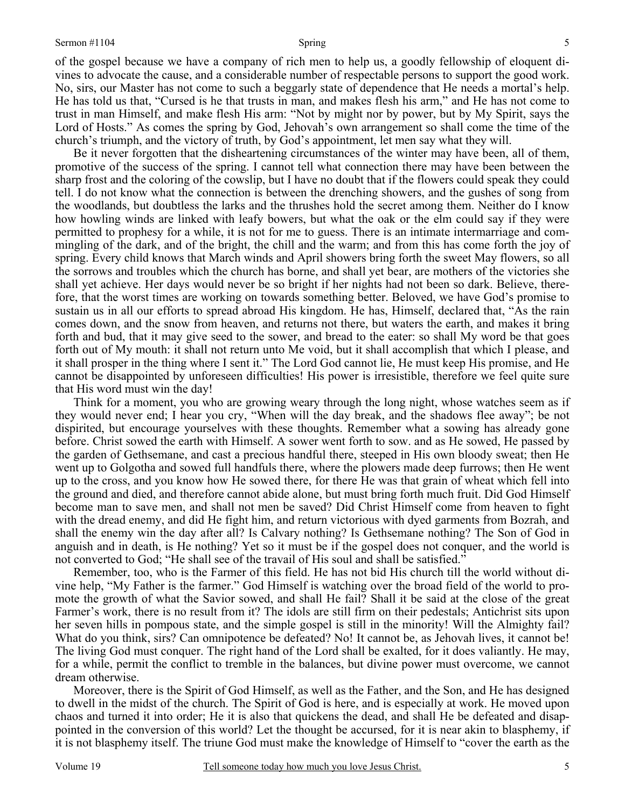of the gospel because we have a company of rich men to help us, a goodly fellowship of eloquent divines to advocate the cause, and a considerable number of respectable persons to support the good work. No, sirs, our Master has not come to such a beggarly state of dependence that He needs a mortal's help. He has told us that, "Cursed is he that trusts in man, and makes flesh his arm," and He has not come to trust in man Himself, and make flesh His arm: "Not by might nor by power, but by My Spirit, says the Lord of Hosts." As comes the spring by God, Jehovah's own arrangement so shall come the time of the church's triumph, and the victory of truth, by God's appointment, let men say what they will.

Be it never forgotten that the disheartening circumstances of the winter may have been, all of them, promotive of the success of the spring. I cannot tell what connection there may have been between the sharp frost and the coloring of the cowslip, but I have no doubt that if the flowers could speak they could tell. I do not know what the connection is between the drenching showers, and the gushes of song from the woodlands, but doubtless the larks and the thrushes hold the secret among them. Neither do I know how howling winds are linked with leafy bowers, but what the oak or the elm could say if they were permitted to prophesy for a while, it is not for me to guess. There is an intimate intermarriage and commingling of the dark, and of the bright, the chill and the warm; and from this has come forth the joy of spring. Every child knows that March winds and April showers bring forth the sweet May flowers, so all the sorrows and troubles which the church has borne, and shall yet bear, are mothers of the victories she shall yet achieve. Her days would never be so bright if her nights had not been so dark. Believe, therefore, that the worst times are working on towards something better. Beloved, we have God's promise to sustain us in all our efforts to spread abroad His kingdom. He has, Himself, declared that, "As the rain comes down, and the snow from heaven, and returns not there, but waters the earth, and makes it bring forth and bud, that it may give seed to the sower, and bread to the eater: so shall My word be that goes forth out of My mouth: it shall not return unto Me void, but it shall accomplish that which I please, and it shall prosper in the thing where I sent it." The Lord God cannot lie, He must keep His promise, and He cannot be disappointed by unforeseen difficulties! His power is irresistible, therefore we feel quite sure that His word must win the day!

Think for a moment, you who are growing weary through the long night, whose watches seem as if they would never end; I hear you cry, "When will the day break, and the shadows flee away"; be not dispirited, but encourage yourselves with these thoughts. Remember what a sowing has already gone before. Christ sowed the earth with Himself. A sower went forth to sow. and as He sowed, He passed by the garden of Gethsemane, and cast a precious handful there, steeped in His own bloody sweat; then He went up to Golgotha and sowed full handfuls there, where the plowers made deep furrows; then He went up to the cross, and you know how He sowed there, for there He was that grain of wheat which fell into the ground and died, and therefore cannot abide alone, but must bring forth much fruit. Did God Himself become man to save men, and shall not men be saved? Did Christ Himself come from heaven to fight with the dread enemy, and did He fight him, and return victorious with dyed garments from Bozrah, and shall the enemy win the day after all? Is Calvary nothing? Is Gethsemane nothing? The Son of God in anguish and in death, is He nothing? Yet so it must be if the gospel does not conquer, and the world is not converted to God; "He shall see of the travail of His soul and shall be satisfied."

Remember, too, who is the Farmer of this field. He has not bid His church till the world without divine help, "My Father is the farmer." God Himself is watching over the broad field of the world to promote the growth of what the Savior sowed, and shall He fail? Shall it be said at the close of the great Farmer's work, there is no result from it? The idols are still firm on their pedestals; Antichrist sits upon her seven hills in pompous state, and the simple gospel is still in the minority! Will the Almighty fail? What do you think, sirs? Can omnipotence be defeated? No! It cannot be, as Jehovah lives, it cannot be! The living God must conquer. The right hand of the Lord shall be exalted, for it does valiantly. He may, for a while, permit the conflict to tremble in the balances, but divine power must overcome, we cannot dream otherwise.

Moreover, there is the Spirit of God Himself, as well as the Father, and the Son, and He has designed to dwell in the midst of the church. The Spirit of God is here, and is especially at work. He moved upon chaos and turned it into order; He it is also that quickens the dead, and shall He be defeated and disappointed in the conversion of this world? Let the thought be accursed, for it is near akin to blasphemy, if it is not blasphemy itself. The triune God must make the knowledge of Himself to "cover the earth as the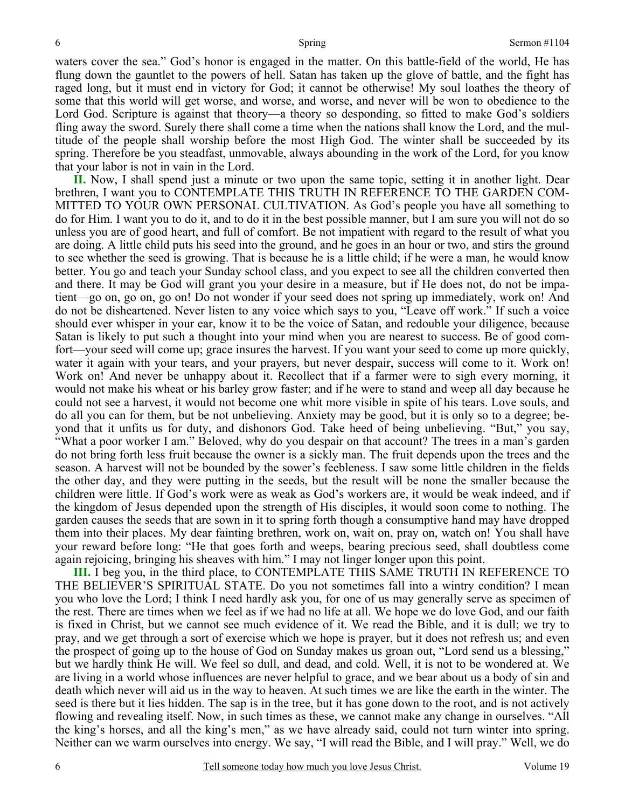waters cover the sea." God's honor is engaged in the matter. On this battle-field of the world, He has flung down the gauntlet to the powers of hell. Satan has taken up the glove of battle, and the fight has raged long, but it must end in victory for God; it cannot be otherwise! My soul loathes the theory of some that this world will get worse, and worse, and worse, and never will be won to obedience to the Lord God. Scripture is against that theory—a theory so desponding, so fitted to make God's soldiers fling away the sword. Surely there shall come a time when the nations shall know the Lord, and the multitude of the people shall worship before the most High God. The winter shall be succeeded by its spring. Therefore be you steadfast, unmovable, always abounding in the work of the Lord, for you know that your labor is not in vain in the Lord.

**II.** Now, I shall spend just a minute or two upon the same topic, setting it in another light. Dear brethren, I want you to CONTEMPLATE THIS TRUTH IN REFERENCE TO THE GARDEN COM-MITTED TO YOUR OWN PERSONAL CULTIVATION. As God's people you have all something to do for Him. I want you to do it, and to do it in the best possible manner, but I am sure you will not do so unless you are of good heart, and full of comfort. Be not impatient with regard to the result of what you are doing. A little child puts his seed into the ground, and he goes in an hour or two, and stirs the ground to see whether the seed is growing. That is because he is a little child; if he were a man, he would know better. You go and teach your Sunday school class, and you expect to see all the children converted then and there. It may be God will grant you your desire in a measure, but if He does not, do not be impatient—go on, go on, go on! Do not wonder if your seed does not spring up immediately, work on! And do not be disheartened. Never listen to any voice which says to you, "Leave off work." If such a voice should ever whisper in your ear, know it to be the voice of Satan, and redouble your diligence, because Satan is likely to put such a thought into your mind when you are nearest to success. Be of good comfort—your seed will come up; grace insures the harvest. If you want your seed to come up more quickly, water it again with your tears, and your prayers, but never despair, success will come to it. Work on! Work on! And never be unhappy about it. Recollect that if a farmer were to sigh every morning, it would not make his wheat or his barley grow faster; and if he were to stand and weep all day because he could not see a harvest, it would not become one whit more visible in spite of his tears. Love souls, and do all you can for them, but be not unbelieving. Anxiety may be good, but it is only so to a degree; beyond that it unfits us for duty, and dishonors God. Take heed of being unbelieving. "But," you say, "What a poor worker I am." Beloved, why do you despair on that account? The trees in a man's garden do not bring forth less fruit because the owner is a sickly man. The fruit depends upon the trees and the season. A harvest will not be bounded by the sower's feebleness. I saw some little children in the fields the other day, and they were putting in the seeds, but the result will be none the smaller because the children were little. If God's work were as weak as God's workers are, it would be weak indeed, and if the kingdom of Jesus depended upon the strength of His disciples, it would soon come to nothing. The garden causes the seeds that are sown in it to spring forth though a consumptive hand may have dropped them into their places. My dear fainting brethren, work on, wait on, pray on, watch on! You shall have your reward before long: "He that goes forth and weeps, bearing precious seed, shall doubtless come again rejoicing, bringing his sheaves with him." I may not linger longer upon this point.

**III.** I beg you, in the third place, to CONTEMPLATE THIS SAME TRUTH IN REFERENCE TO THE BELIEVER'S SPIRITUAL STATE. Do you not sometimes fall into a wintry condition? I mean you who love the Lord; I think I need hardly ask you, for one of us may generally serve as specimen of the rest. There are times when we feel as if we had no life at all. We hope we do love God, and our faith is fixed in Christ, but we cannot see much evidence of it. We read the Bible, and it is dull; we try to pray, and we get through a sort of exercise which we hope is prayer, but it does not refresh us; and even the prospect of going up to the house of God on Sunday makes us groan out, "Lord send us a blessing," but we hardly think He will. We feel so dull, and dead, and cold. Well, it is not to be wondered at. We are living in a world whose influences are never helpful to grace, and we bear about us a body of sin and death which never will aid us in the way to heaven. At such times we are like the earth in the winter. The seed is there but it lies hidden. The sap is in the tree, but it has gone down to the root, and is not actively flowing and revealing itself. Now, in such times as these, we cannot make any change in ourselves. "All the king's horses, and all the king's men," as we have already said, could not turn winter into spring. Neither can we warm ourselves into energy. We say, "I will read the Bible, and I will pray." Well, we do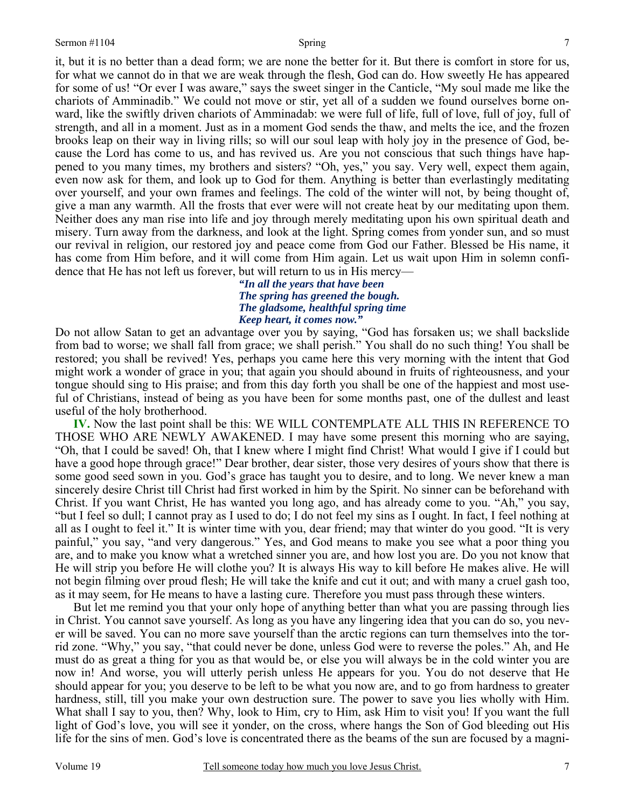it, but it is no better than a dead form; we are none the better for it. But there is comfort in store for us, for what we cannot do in that we are weak through the flesh, God can do. How sweetly He has appeared for some of us! "Or ever I was aware," says the sweet singer in the Canticle, "My soul made me like the chariots of Amminadib." We could not move or stir, yet all of a sudden we found ourselves borne onward, like the swiftly driven chariots of Amminadab: we were full of life, full of love, full of joy, full of strength, and all in a moment. Just as in a moment God sends the thaw, and melts the ice, and the frozen brooks leap on their way in living rills; so will our soul leap with holy joy in the presence of God, because the Lord has come to us, and has revived us. Are you not conscious that such things have happened to you many times, my brothers and sisters? "Oh, yes," you say. Very well, expect them again, even now ask for them, and look up to God for them. Anything is better than everlastingly meditating over yourself, and your own frames and feelings. The cold of the winter will not, by being thought of, give a man any warmth. All the frosts that ever were will not create heat by our meditating upon them. Neither does any man rise into life and joy through merely meditating upon his own spiritual death and misery. Turn away from the darkness, and look at the light. Spring comes from yonder sun, and so must our revival in religion, our restored joy and peace come from God our Father. Blessed be His name, it has come from Him before, and it will come from Him again. Let us wait upon Him in solemn confidence that He has not left us forever, but will return to us in His mercy—

> *"In all the years that have been The spring has greened the bough. The gladsome, healthful spring time Keep heart, it comes now."*

Do not allow Satan to get an advantage over you by saying, "God has forsaken us; we shall backslide from bad to worse; we shall fall from grace; we shall perish." You shall do no such thing! You shall be restored; you shall be revived! Yes, perhaps you came here this very morning with the intent that God might work a wonder of grace in you; that again you should abound in fruits of righteousness, and your tongue should sing to His praise; and from this day forth you shall be one of the happiest and most useful of Christians, instead of being as you have been for some months past, one of the dullest and least useful of the holy brotherhood.

**IV.** Now the last point shall be this: WE WILL CONTEMPLATE ALL THIS IN REFERENCE TO THOSE WHO ARE NEWLY AWAKENED. I may have some present this morning who are saying, "Oh, that I could be saved! Oh, that I knew where I might find Christ! What would I give if I could but have a good hope through grace!" Dear brother, dear sister, those very desires of yours show that there is some good seed sown in you. God's grace has taught you to desire, and to long. We never knew a man sincerely desire Christ till Christ had first worked in him by the Spirit. No sinner can be beforehand with Christ. If you want Christ, He has wanted you long ago, and has already come to you. "Ah," you say, "but I feel so dull; I cannot pray as I used to do; I do not feel my sins as I ought. In fact, I feel nothing at all as I ought to feel it." It is winter time with you, dear friend; may that winter do you good. "It is very painful," you say, "and very dangerous." Yes, and God means to make you see what a poor thing you are, and to make you know what a wretched sinner you are, and how lost you are. Do you not know that He will strip you before He will clothe you? It is always His way to kill before He makes alive. He will not begin filming over proud flesh; He will take the knife and cut it out; and with many a cruel gash too, as it may seem, for He means to have a lasting cure. Therefore you must pass through these winters.

But let me remind you that your only hope of anything better than what you are passing through lies in Christ. You cannot save yourself. As long as you have any lingering idea that you can do so, you never will be saved. You can no more save yourself than the arctic regions can turn themselves into the torrid zone. "Why," you say, "that could never be done, unless God were to reverse the poles." Ah, and He must do as great a thing for you as that would be, or else you will always be in the cold winter you are now in! And worse, you will utterly perish unless He appears for you. You do not deserve that He should appear for you; you deserve to be left to be what you now are, and to go from hardness to greater hardness, still, till you make your own destruction sure. The power to save you lies wholly with Him. What shall I say to you, then? Why, look to Him, cry to Him, ask Him to visit you! If you want the full light of God's love, you will see it yonder, on the cross, where hangs the Son of God bleeding out His life for the sins of men. God's love is concentrated there as the beams of the sun are focused by a magni